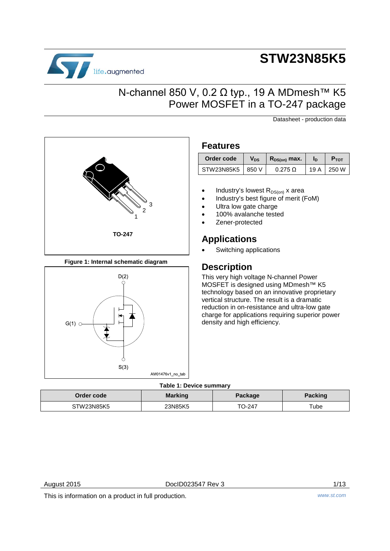

# **STW23N85K5**

### N-channel 850 V, 0.2 Ω typ., 19 A MDmesh<sup>™</sup> K5 Power MOSFET in a TO-247 package

Datasheet - production data



**Figure 1: Internal schematic diagram**



#### **Features**

| Order code         | V <sub>DS</sub> | $R_{DS(on)}$ max. | In  | <b>P</b> <sub>TOT</sub> |
|--------------------|-----------------|-------------------|-----|-------------------------|
| STW23N85K5   850 V |                 | $0.275 \Omega$    | 19A | 250 W                   |

- Industry's lowest  $R_{DS(on)}$  x area
- Industry's best figure of merit (FoM)
- Ultra low gate charge
- 100% avalanche tested
- Zener-protected

### **Applications**

Switching applications

### **Description**

This very high voltage N-channel Power MOSFET is designed using MDmesh™ K5 technology based on an innovative proprietary vertical structure. The result is a dramatic reduction in on-resistance and ultra-low gate charge for applications requiring superior power density and high efficiency.

#### **Table 1: Device summary**

|            | .              |                |                |
|------------|----------------|----------------|----------------|
| Order code | <b>Marking</b> | <b>Package</b> | <b>Packing</b> |
| STW23N85K5 | 23N85K5        | TO-247         | Tube           |

August 2015 **DoclD023547 Rev 3** 2/13

This is information on a product in full production. *www.st.com*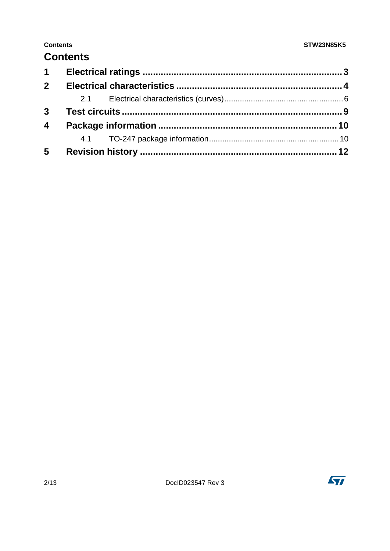### **Contents**

### **Contents**

| $1 \quad$               |  |  |
|-------------------------|--|--|
| 2 <sup>1</sup>          |  |  |
|                         |  |  |
|                         |  |  |
| $\overline{\mathbf{4}}$ |  |  |
|                         |  |  |
| $5\phantom{.0}$         |  |  |

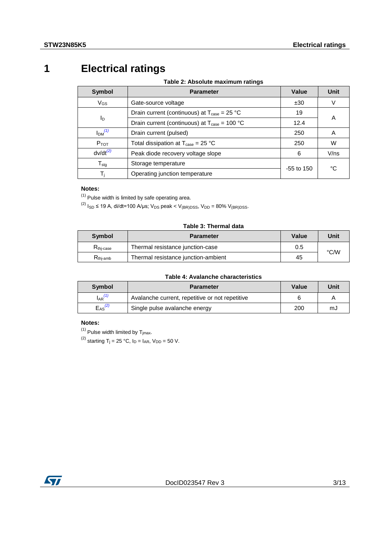## **1 Electrical ratings**

**Table 2: Absolute maximum ratings**

<span id="page-2-0"></span>

| Symbol                | <b>Parameter</b>                                                              | Value        | <b>Unit</b> |
|-----------------------|-------------------------------------------------------------------------------|--------------|-------------|
| $V_{GS}$              | Gate-source voltage                                                           | ±30          | V           |
|                       | Drain current (continuous) at $T_{\text{case}} = 25 \text{ }^{\circ}\text{C}$ | 19           |             |
| <b>l</b> <sub>D</sub> | Drain current (continuous) at $T_{\text{case}} = 100 \text{ °C}$              | 12.4         | A           |
| Im <sup>(1)</sup>     | Drain current (pulsed)                                                        | 250          | A           |
| $P_{TOT}$             | Total dissipation at $T_{\text{case}} = 25 \text{ }^{\circ}\text{C}$          | 250          | W           |
| $dv/dt^{(2)}$         | Peak diode recovery voltage slope                                             | 6            | $V$ /ns     |
| $T_{\text{stg}}$      | Storage temperature                                                           |              |             |
|                       | Operating junction temperature                                                | $-55$ to 150 | °C          |

#### **Notes:**

<span id="page-2-1"></span> $(1)$  Pulse width is limited by safe operating area.

<span id="page-2-2"></span>(2)  $I_{SD} \le 19$  A, di/dt=100 A/us; V<sub>DS</sub> peak < V<sub>(BR)DSS</sub>, V<sub>DD</sub> = 80% V<sub>(BR)DSS</sub>.

#### **Table 3: Thermal data**

| <b>Symbol</b>                                   | <b>Parameter</b>                    | Value | Unit |
|-------------------------------------------------|-------------------------------------|-------|------|
| $\mathsf{R}_{\mathsf{thj-case}}$                | Thermal resistance junction-case    | 0.5   |      |
| $\mathsf{K}_{\mathsf{thi\text{-}}\mathsf{amb}}$ | Thermal resistance junction-ambient | 45    | °C/W |

#### **Table 4: Avalanche characteristics**

| <b>Symbol</b>           | <b>Parameter</b>                                | Value | Unit |
|-------------------------|-------------------------------------------------|-------|------|
| $I_{AR}$ <sup>(1)</sup> | Avalanche current, repetitive or not repetitive |       |      |
| $E_{AS}^{(2)}$          | Single pulse avalanche energy                   | 200   | mJ   |

#### **Notes:**

<span id="page-2-3"></span> $(1)$  Pulse width limited by  $T_{jmax}$ .

<span id="page-2-4"></span><sup>(2)</sup> starting T<sub>j</sub> = 25 °C,  $I_D = I_{AR}$ ,  $V_{DD} = 50$  V.

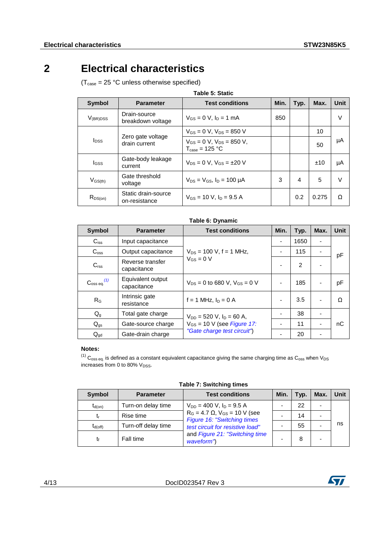### **2 Electrical characteristics**

<span id="page-3-0"></span> $(T_{\text{case}} = 25 \text{ °C}$  unless otherwise specified)

| <b>Symbol</b>                                                 | <b>Parameter</b>                                                        | <b>Test conditions</b>                | Min. | Typ. | Max.  | <b>Unit</b> |
|---------------------------------------------------------------|-------------------------------------------------------------------------|---------------------------------------|------|------|-------|-------------|
| $V_{(BR)DSS}$                                                 | Drain-source<br>breakdown voltage                                       | $V_{GS} = 0$ V, $I_D = 1$ mA          | 850  |      |       | V           |
|                                                               |                                                                         | $V_{GS} = 0$ V, $V_{DS} = 850$ V      |      |      | 10    |             |
| Zero gate voltage<br><b>l</b> <sub>DSS</sub><br>drain current | $V_{GS} = 0$ V, $V_{DS} = 850$ V,<br>$T_{\text{case}} = 125 \text{ °C}$ |                                       |      | 50   | μA    |             |
| <b>I</b> GSS                                                  | Gate-body leakage<br>current                                            | $V_{DS} = 0 V$ , $V_{GS} = \pm 20 V$  |      |      | ±10   | μA          |
| $V_{GS(th)}$                                                  | Gate threshold<br>voltage                                               | $V_{DS} = V_{GS}$ , $I_D = 100 \mu A$ | 3    | 4    | 5     | $\vee$      |
| $R_{DS(on)}$                                                  | Static drain-source<br>on-resistance                                    | $V_{GS}$ = 10 V, $I_D$ = 9.5 A        |      | 0.2  | 0.275 | Ω           |

| Table 6: Dynamic         |                                  |                                                                |      |                |      |      |
|--------------------------|----------------------------------|----------------------------------------------------------------|------|----------------|------|------|
| <b>Symbol</b>            | <b>Parameter</b>                 | <b>Test conditions</b>                                         | Min. | Typ.           | Max. | Unit |
| $C_{iss}$                | Input capacitance                |                                                                |      | 1650           |      |      |
| $C_{\rm oss}$            | Output capacitance               | $V_{DS}$ = 100 V, f = 1 MHz,                                   |      | 115            |      | pF   |
| C <sub>rss</sub>         | Reverse transfer<br>capacitance  | $V_{GS} = 0 V$                                                 |      | $\overline{2}$ |      |      |
| $C_{\rm oss\ eq.}^{(1)}$ | Equivalent output<br>capacitance | $V_{DS} = 0$ to 680 V, $V_{GS} = 0$ V                          |      | 185            |      | рF   |
| R <sub>G</sub>           | Intrinsic gate<br>resistance     | $f = 1$ MHz, $I_D = 0$ A                                       |      | 3.5            |      | Ω    |
| $Q_{g}$                  | Total gate charge                | $V_{DD}$ = 520 V, $I_D$ = 60 A,                                |      | 38             |      |      |
| $Q_{gs}$                 | Gate-source charge               | $V_{GS}$ = 10 V (see Figure 17:<br>"Gate charge test circuit") |      | 11             |      | nС   |
| $Q_{\text{gd}}$          | Gate-drain charge                |                                                                |      | 20             |      |      |

#### **Notes:**

<span id="page-3-1"></span> $^{(1)}$  C<sub>oss eq.</sub> is defined as a constant equivalent capacitance giving the same charging time as C<sub>oss</sub> when V<sub>DS</sub> increases from 0 to 80%  $V_{DSS}$ .

| 1800010100111119111100 |                     |                                                                                                             |      |      |      |      |
|------------------------|---------------------|-------------------------------------------------------------------------------------------------------------|------|------|------|------|
| Symbol                 | <b>Parameter</b>    | <b>Test conditions</b>                                                                                      | Min. | Typ. | Max. | Unit |
| $t_{d(on)}$            | Turn-on delay time  | $V_{DD} = 400$ V, $I_D = 9.5$ A<br>$R_G = 4.7 \Omega$ , $V_{GS} = 10 V$ (see<br>Figure 16: "Switching times |      | 22   |      |      |
|                        | Rise time           |                                                                                                             |      | 14   |      |      |
| $t_{d(off)}$           | Turn-off delay time | test circuit for resistive load"                                                                            |      | 55   |      | ns   |
|                        | Fall time           | and Figure 21: "Switching time<br>waveform")                                                                |      | 8    |      |      |

**Table 7: Switching times**



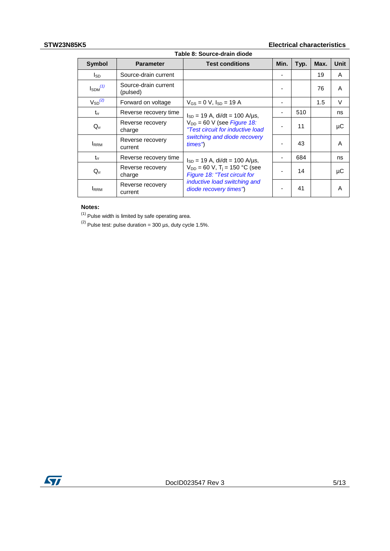#### **STW23N85K5 Electrical characteristics**

| Table 8: Source-drain diode |                                  |                                                                               |      |      |      |        |
|-----------------------------|----------------------------------|-------------------------------------------------------------------------------|------|------|------|--------|
| <b>Symbol</b>               | <b>Parameter</b>                 | <b>Test conditions</b>                                                        | Min. | Typ. | Max. | Unit   |
| l <sub>SD</sub>             | Source-drain current             |                                                                               |      |      | 19   | A      |
| $I_{SDM}^{(1)}$             | Source-drain current<br>(pulsed) |                                                                               |      |      | 76   | A      |
| $V_{SD}^{(2)}$              | Forward on voltage               | $V_{GS} = 0 V$ , $I_{SD} = 19 A$                                              |      |      | 1.5  | $\vee$ |
| $t_{rr}$                    | Reverse recovery time            | $I_{SD}$ = 19 A, di/dt = 100 A/µs,                                            |      | 510  |      | ns     |
| $Q_{rr}$                    | Reverse recovery<br>charge       | $V_{DD}$ = 60 V (see <i>Figure 18:</i><br>"Test circuit for inductive load    |      | 11   |      | μC     |
| <b>I</b> RRM                | Reverse recovery<br>current      | switching and diode recovery<br>times")                                       |      | 43   |      | A      |
| $t_{rr}$                    | Reverse recovery time            | $I_{SD}$ = 19 A, di/dt = 100 A/us,                                            |      | 684  |      | ns     |
| $Q_{rr}$                    | Reverse recovery<br>charge       | $V_{DD}$ = 60 V, T <sub>i</sub> = 150 °C (see<br>Figure 18: "Test circuit for |      | 14   |      | μC     |
| <b>I</b> RRM                | Reverse recovery<br>current      | inductive load switching and<br>diode recovery times")                        |      | 41   |      | A      |

#### **Notes:**

<span id="page-4-0"></span>(1) Pulse width is limited by safe operating area.

<span id="page-4-1"></span>(2) Pulse test: pulse duration =  $300 \,\mu s$ , duty cycle 1.5%.

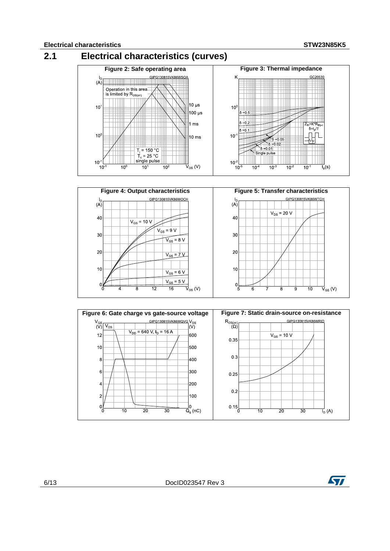<span id="page-5-0"></span>





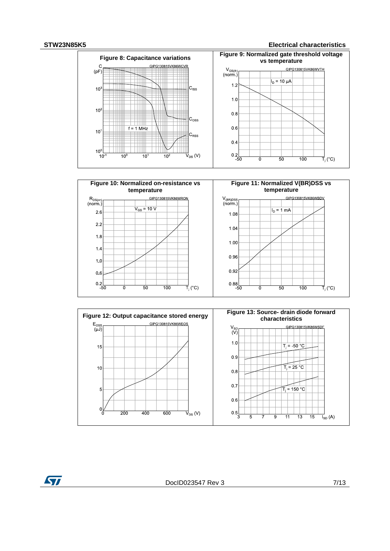#### **STW23N85K5 Electrical characteristics**







ST

DocID023547 Rev 3 7/13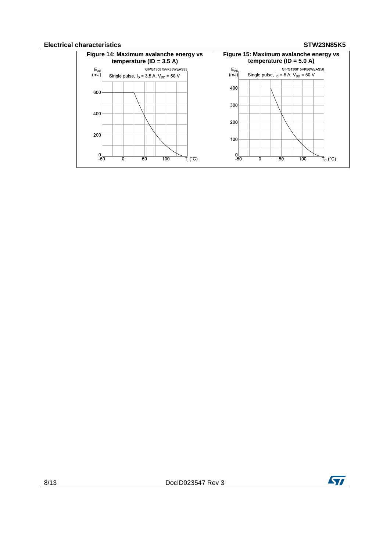#### **Electrical characteristics STW23N85K5**



8/13 DocID023547 Rev 3

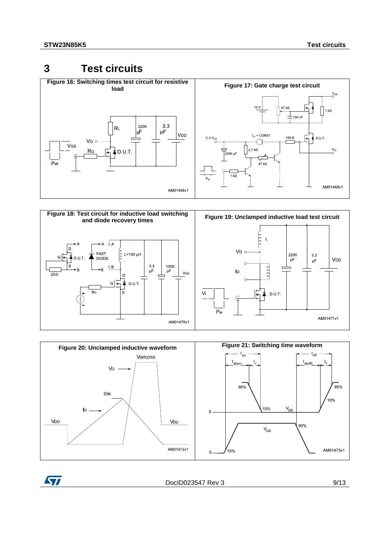### <span id="page-8-1"></span><span id="page-8-0"></span>**3 Test circuits**

<span id="page-8-2"></span>

<span id="page-8-4"></span>

<span id="page-8-3"></span>

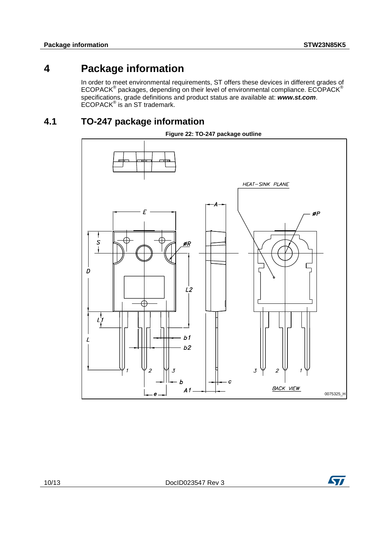### **4 Package information**

<span id="page-9-0"></span>In order to meet environmental requirements, ST offers these devices in different grades of ECOPACK® packages, depending on their level of environmental compliance. ECOPACK® specifications, grade definitions and product status are available at: *www.st.com*. ECOPACK® is an ST trademark.

### **4.1 TO-247 package information**

<span id="page-9-1"></span>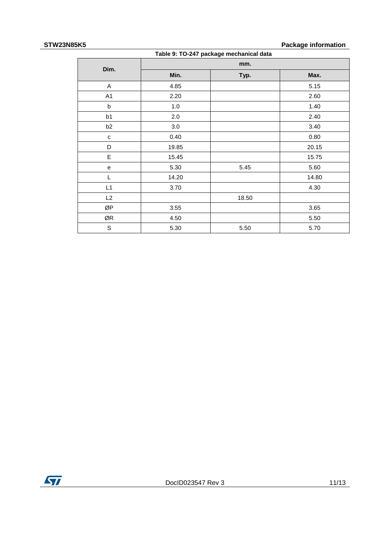#### **STW23N85K5 Package information**

| '''<br>ı avnayo mıvımanon |       |                                         |       |  |  |  |
|---------------------------|-------|-----------------------------------------|-------|--|--|--|
|                           |       | Table 9: TO-247 package mechanical data |       |  |  |  |
| Dim.                      |       | mm.                                     |       |  |  |  |
|                           | Min.  | Typ.                                    | Max.  |  |  |  |
| A                         | 4.85  |                                         | 5.15  |  |  |  |
| A1                        | 2.20  |                                         | 2.60  |  |  |  |
| b                         | 1.0   |                                         | 1.40  |  |  |  |
| b1                        | 2.0   |                                         | 2.40  |  |  |  |
| b <sub>2</sub>            | 3.0   |                                         | 3.40  |  |  |  |
| с                         | 0.40  |                                         | 0.80  |  |  |  |
| D                         | 19.85 |                                         | 20.15 |  |  |  |
| E                         | 15.45 |                                         | 15.75 |  |  |  |
| e                         | 5.30  | 5.45                                    | 5.60  |  |  |  |
| L                         | 14.20 |                                         | 14.80 |  |  |  |
| L1                        | 3.70  |                                         | 4.30  |  |  |  |
| L2                        |       | 18.50                                   |       |  |  |  |
| ØP                        | 3.55  |                                         | 3.65  |  |  |  |
| ØR                        | 4.50  |                                         | 5.50  |  |  |  |
| S                         | 5.30  | 5.50                                    | 5.70  |  |  |  |

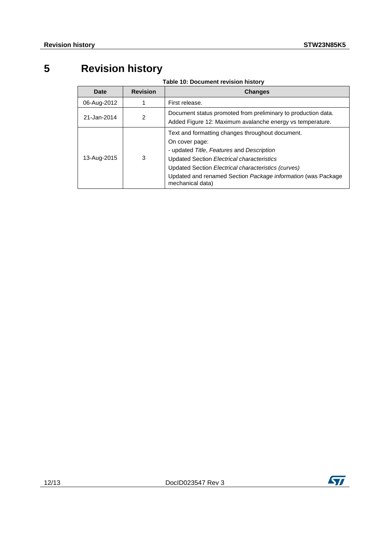## **5 Revision history**

**Table 10: Document revision history**

<span id="page-11-0"></span>

| Date        | <b>Revision</b> | <b>Changes</b>                                                                                                                                                                                                                                                                                           |
|-------------|-----------------|----------------------------------------------------------------------------------------------------------------------------------------------------------------------------------------------------------------------------------------------------------------------------------------------------------|
| 06-Aug-2012 |                 | First release.                                                                                                                                                                                                                                                                                           |
| 21-Jan-2014 | 2               | Document status promoted from preliminary to production data.<br>Added Figure 12: Maximum avalanche energy vs temperature.                                                                                                                                                                               |
| 13-Aug-2015 | 3               | Text and formatting changes throughout document.<br>On cover page:<br>- updated Title, Features and Description<br>Updated Section Electrical characteristics<br>Updated Section Electrical characteristics (curves)<br>Updated and renamed Section Package information (was Package<br>mechanical data) |